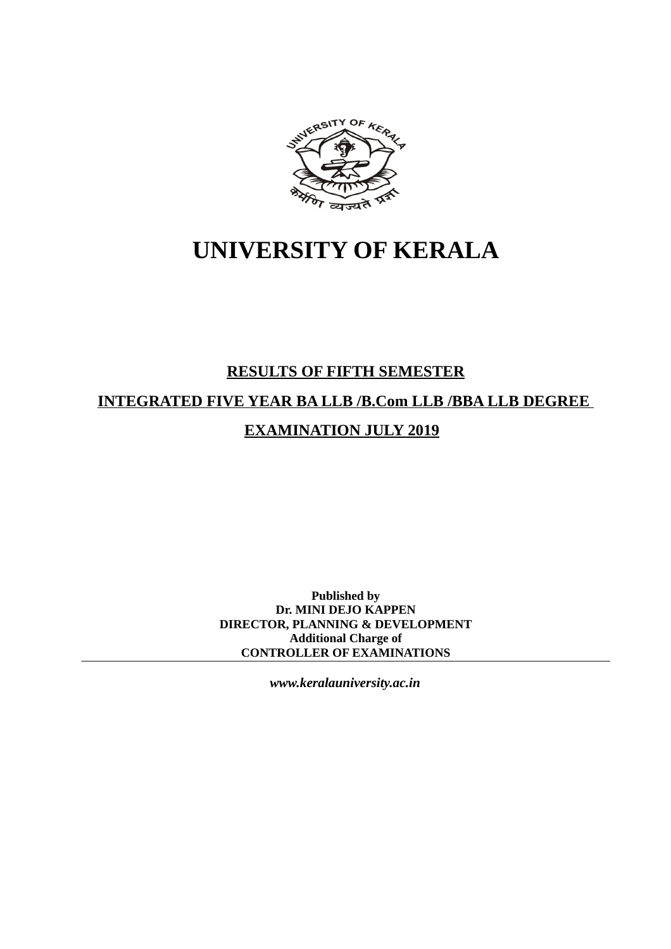

# **UNIVERSITY OF KERALA**

# **RESULTS OF FIFTH SEMESTER**

# **INTEGRATED FIVE YEAR BA LLB /B.Com LLB /BBA LLB DEGREE**

# **EXAMINATION JULY 2019**

**Published by Dr. MINI DEJO KAPPEN DIRECTOR, PLANNING & DEVELOPMENT Additional Charge of CONTROLLER OF EXAMINATIONS**

*www.keralauniversity.ac.in*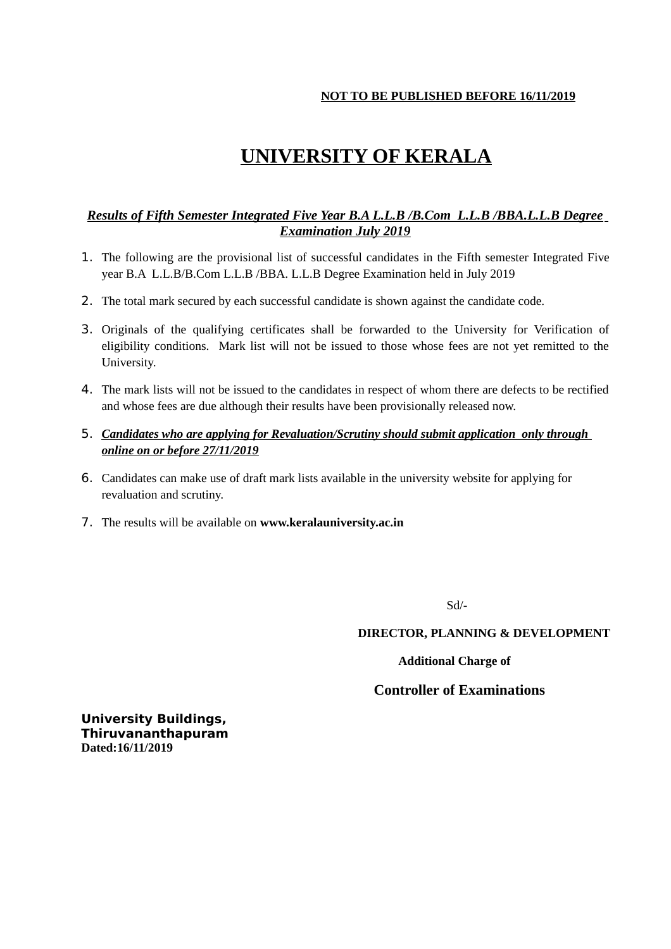#### **NOT TO BE PUBLISHED BEFORE 16/11/2019**

# **UNIVERSITY OF KERALA**

## *Results of Fifth Semester Integrated Five Year B.A L.L.B /B.Com L.L.B /BBA.L.L.B Degree Examination July 2019*

- 1. The following are the provisional list of successful candidates in the Fifth semester Integrated Five year B.A L.L.B/B.Com L.L.B /BBA. L.L.B Degree Examination held in July 2019
- 2. The total mark secured by each successful candidate is shown against the candidate code.
- 3. Originals of the qualifying certificates shall be forwarded to the University for Verification of eligibility conditions. Mark list will not be issued to those whose fees are not yet remitted to the University.
- 4. The mark lists will not be issued to the candidates in respect of whom there are defects to be rectified and whose fees are due although their results have been provisionally released now.
- 5. *Candidates who are applying for Revaluation/Scrutiny should submit application only through online on or before 27/11/2019*
- 6. Candidates can make use of draft mark lists available in the university website for applying for revaluation and scrutiny.
- 7. The results will be available on **www.keralauniversity.ac.in**

Sd/-

 **DIRECTOR, PLANNING & DEVELOPMENT**

 **Additional Charge of**

#### **Controller of Examinations**

**University Buildings, Thiruvananthapuram Dated:16/11/2019**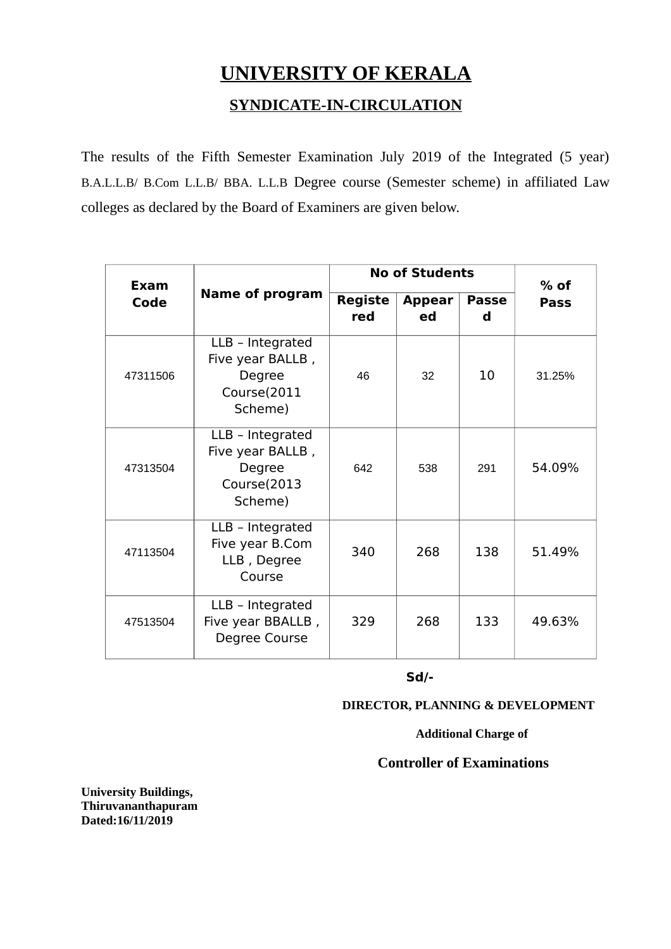# **UNIVERSITY OF KERALA**

# **SYNDICATE-IN-CIRCULATION**

The results of the Fifth Semester Examination July 2019 of the Integrated (5 year) B.A.L.L.B/ B.Com L.L.B/ BBA. L.L.B Degree course (Semester scheme) in affiliated Law colleges as declared by the Board of Examiners are given below.

| Exam     |                                                                          |                       | <b>No of Students</b> |                   |             |
|----------|--------------------------------------------------------------------------|-----------------------|-----------------------|-------------------|-------------|
| Code     | <b>Name of program</b>                                                   | <b>Registe</b><br>red | <b>Appear</b><br>ed   | <b>Passe</b><br>d | <b>Pass</b> |
| 47311506 | LLB - Integrated<br>Five year BALLB,<br>Degree<br>Course(2011<br>Scheme) | 46                    | 32                    | 10                | 31.25%      |
| 47313504 | LLB - Integrated<br>Five year BALLB,<br>Degree<br>Course(2013<br>Scheme) | 642                   | 538                   | 291               | 54.09%      |
| 47113504 | LLB - Integrated<br>Five year B.Com<br>LLB, Degree<br>Course             | 340                   | 268                   | 138               | 51.49%      |
| 47513504 | LLB - Integrated<br>Five year BBALLB,<br>Degree Course                   | 329                   | 268                   | 133               | 49.63%      |

**Sd/-**

# **DIRECTOR, PLANNING & DEVELOPMENT**

 **Additional Charge of**

# **Controller of Examinations**

**University Buildings, Thiruvananthapuram Dated:16/11/2019**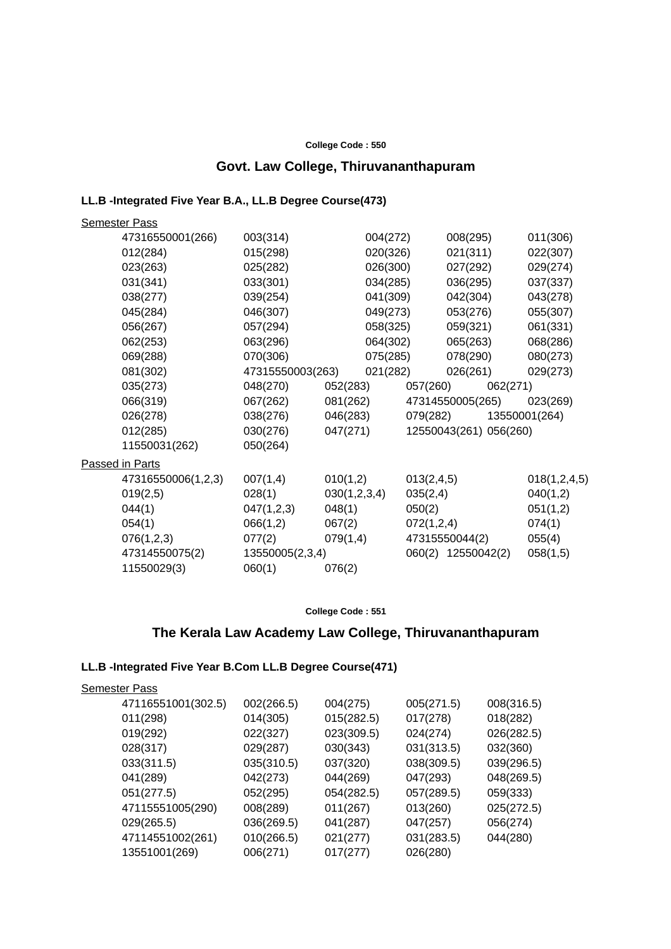#### **College Code : 550**

# **Govt. Law College, Thiruvananthapuram**

#### **LL.B -Integrated Five Year B.A., LL.B Degree Course(473)**

| <b>Semester Pass</b> |                  |          |              |            |                        |          |                           |
|----------------------|------------------|----------|--------------|------------|------------------------|----------|---------------------------|
| 47316550001(266)     | 003(314)         |          | 004(272)     |            | 008(295)               |          | 011(306)                  |
| 012(284)             | 015(298)         |          | 020(326)     |            | 021(311)               |          | 022(307)                  |
| 023(263)             | 025(282)         |          | 026(300)     |            | 027(292)               |          | 029(274)                  |
| 031(341)             | 033(301)         |          | 034(285)     |            | 036(295)               |          | 037(337)                  |
| 038(277)             | 039(254)         |          | 041(309)     |            | 042(304)               |          | 043(278)                  |
| 045(284)             | 046(307)         |          | 049(273)     |            | 053(276)               |          | 055(307)                  |
| 056(267)             | 057(294)         |          | 058(325)     |            | 059(321)               |          | 061(331)                  |
| 062(253)             | 063(296)         |          | 064(302)     |            | 065(263)               |          | 068(286)                  |
| 069(288)             | 070(306)         |          | 075(285)     |            | 078(290)               |          | 080(273)                  |
| 081(302)             | 47315550003(263) |          | 021(282)     |            | 026(261)               |          | 029(273)                  |
| 035(273)             | 048(270)         |          | 052(283)     |            | 057(260)               | 062(271) |                           |
| 066(319)             | 067(262)         |          | 081(262)     |            |                        |          | 47314550005(265) 023(269) |
| 026(278)             | 038(276)         |          | 046(283)     |            |                        |          | 079(282) 13550001(264)    |
| 012(285)             | 030(276)         |          | 047(271)     |            | 12550043(261) 056(260) |          |                           |
| 11550031(262)        | 050(264)         |          |              |            |                        |          |                           |
| Passed in Parts      |                  |          |              |            |                        |          |                           |
| 47316550006(1,2,3)   | 007(1,4)         | 010(1,2) |              | 013(2,4,5) |                        |          | 018(1,2,4,5)              |
| 019(2,5)             | 028(1)           |          | 030(1,2,3,4) | 035(2,4)   |                        |          | 040(1,2)                  |
| 044(1)               | 047(1,2,3)       | 048(1)   |              | 050(2)     |                        |          | 051(1,2)                  |
| 054(1)               | 066(1,2)         | 067(2)   |              | 072(1,2,4) |                        |          | 074(1)                    |
| 076(1,2,3)           | 077(2)           | 079(1,4) |              |            | 47315550044(2)         |          | 055(4)                    |
| 47314550075(2)       | 13550005(2,3,4)  |          |              |            | 060(2) 12550042(2)     |          | 058(1,5)                  |
| 11550029(3)          | 060(1)           | 076(2)   |              |            |                        |          |                           |

#### **College Code : 551**

# **The Kerala Law Academy Law College, Thiruvananthapuram**

#### **LL.B -Integrated Five Year B.Com LL.B Degree Course(471)**

| 47116551001(302.5)<br>002(266.5)<br>005(271.5)<br>004(275)<br>008(316.5)<br>018(282)<br>011(298)<br>015(282.5)<br>017(278)<br>014(305)<br>019(292)<br>022(327)<br>023(309.5)<br>026(282.5)<br>024(274)<br>030(343)<br>032(360)<br>028(317)<br>029(287)<br>031(313.5)<br>037(320)<br>038(309.5)<br>039(296.5)<br>033(311.5)<br>035(310.5)<br>048(269.5)<br>041(289)<br>042(273)<br>044(269)<br>047(293)<br>057(289.5)<br>051(277.5)<br>052(295)<br>054(282.5)<br>059(333) |  |
|--------------------------------------------------------------------------------------------------------------------------------------------------------------------------------------------------------------------------------------------------------------------------------------------------------------------------------------------------------------------------------------------------------------------------------------------------------------------------|--|
|                                                                                                                                                                                                                                                                                                                                                                                                                                                                          |  |
|                                                                                                                                                                                                                                                                                                                                                                                                                                                                          |  |
|                                                                                                                                                                                                                                                                                                                                                                                                                                                                          |  |
|                                                                                                                                                                                                                                                                                                                                                                                                                                                                          |  |
|                                                                                                                                                                                                                                                                                                                                                                                                                                                                          |  |
|                                                                                                                                                                                                                                                                                                                                                                                                                                                                          |  |
|                                                                                                                                                                                                                                                                                                                                                                                                                                                                          |  |
| 008(289)<br>011(267)<br>013(260)<br>025(272.5)<br>47115551005(290)                                                                                                                                                                                                                                                                                                                                                                                                       |  |
| 029(265.5)<br>036(269.5)<br>041(287)<br>047(257)<br>056(274)                                                                                                                                                                                                                                                                                                                                                                                                             |  |
| 031(283.5)<br>47114551002(261)<br>010(266.5)<br>021(277)<br>044(280)                                                                                                                                                                                                                                                                                                                                                                                                     |  |
| 13551001(269)<br>017(277)<br>026(280)<br>006(271)                                                                                                                                                                                                                                                                                                                                                                                                                        |  |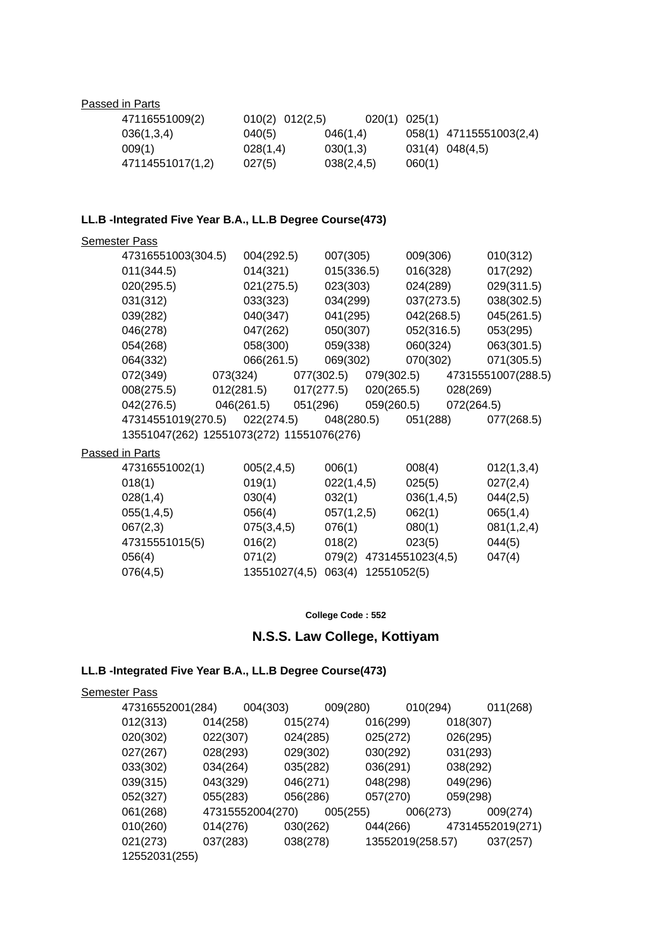#### Passed in Parts

| 47116551009(2)   | $010(2)$ $012(2,5)$ | 020(1) 025(1) |        |                         |
|------------------|---------------------|---------------|--------|-------------------------|
| 036(1,3,4)       | 040(5)              | 046(1,4)      |        | 058(1) 47115551003(2,4) |
| 009(1)           | 028(1,4)            | 030(1,3)      |        | 031(4) 048(4,5)         |
| 47114551017(1,2) | 027(5)              | 038(2, 4.5)   | 060(1) |                         |

#### **LL.B -Integrated Five Year B.A., LL.B Degree Course(473)**

| <b>Semester Pass</b>                      |            |                          |            |                    |
|-------------------------------------------|------------|--------------------------|------------|--------------------|
| 47316551003(304.5)                        | 004(292.5) | 007(305)                 | 009(306)   | 010(312)           |
| 011(344.5)                                | 014(321)   | 015(336.5)               | 016(328)   | 017(292)           |
| 020(295.5)                                | 021(275.5) | 023(303)                 | 024(289)   | 029(311.5)         |
| 031(312)                                  | 033(323)   | 034(299)                 | 037(273.5) | 038(302.5)         |
| 039(282)                                  | 040(347)   | 041(295)                 | 042(268.5) | 045(261.5)         |
| 046(278)                                  | 047(262)   | 050(307)                 | 052(316.5) | 053(295)           |
| 054(268)                                  | 058(300)   | 059(338)                 | 060(324)   | 063(301.5)         |
| 064(332)                                  | 066(261.5) | 069(302)                 | 070(302)   | 071(305.5)         |
| 072(349)                                  | 073(324)   | 077(302.5)<br>079(302.5) |            | 47315551007(288.5) |
| 008(275.5)                                | 012(281.5) | 020(265.5)<br>017(277.5) | 028(269)   |                    |
| 042(276.5)                                | 046(261.5) | 051(296)<br>059(260.5)   | 072(264.5) |                    |
| 47314551019(270.5)                        | 022(274.5) | 048(280.5)               | 051(288)   | 077(268.5)         |
| 13551047(262) 12551073(272) 11551076(276) |            |                          |            |                    |

#### Passed in Parts

| 47316551002(1) | 005(2,4,5)    | 006(1)                | 008(4)           | 012(1,3,4) |
|----------------|---------------|-----------------------|------------------|------------|
| 018(1)         | 019(1)        | 022(1,4,5)            | 025(5)           | 027(2,4)   |
| 028(1,4)       | 030(4)        | 032(1)                | 036(1,4,5)       | 044(2,5)   |
| 055(1,4,5)     | 056(4)        | 057(1,2,5)            | 062(1)           | 065(1,4)   |
| 067(2,3)       | 075(3,4,5)    | 076(1)                | 080(1)           | 081(1,2,4) |
| 47315551015(5) | 016(2)        | 018(2)                | 023(5)           | 044(5)     |
| 056(4)         | 071(2)        | 079(2)                | 47314551023(4,5) | 047(4)     |
| 076(4,5)       | 13551027(4,5) | 12551052(5)<br>063(4) |                  |            |

#### **College Code : 552**

# **N.S.S. Law College, Kottiyam**

### **LL.B -Integrated Five Year B.A., LL.B Degree Course(473)**

### Semester Pass

| 47316552001(284) | 004(303)         |          | 009(280)<br>010(294) |          | 011(268)         |
|------------------|------------------|----------|----------------------|----------|------------------|
| 012(313)         | 014(258)         | 015(274) | 016(299)             | 018(307) |                  |
| 020(302)         | 022(307)         | 024(285) | 025(272)             | 026(295) |                  |
| 027(267)         | 028(293)         | 029(302) | 030(292)             | 031(293) |                  |
| 033(302)         | 034(264)         | 035(282) | 036(291)             | 038(292) |                  |
| 039(315)         | 043(329)         | 046(271) | 048(298)             | 049(296) |                  |
| 052(327)         | 055(283)         | 056(286) | 057(270)             | 059(298) |                  |
| 061(268)         | 47315552004(270) |          | 005(255)<br>006(273) |          | 009(274)         |
| 010(260)         | 014(276)         | 030(262) | 044(266)             |          | 47314552019(271) |
| 021(273)         | 037(283)         | 038(278) | 13552019(258.57)     |          | 037(257)         |
| 12552031(255)    |                  |          |                      |          |                  |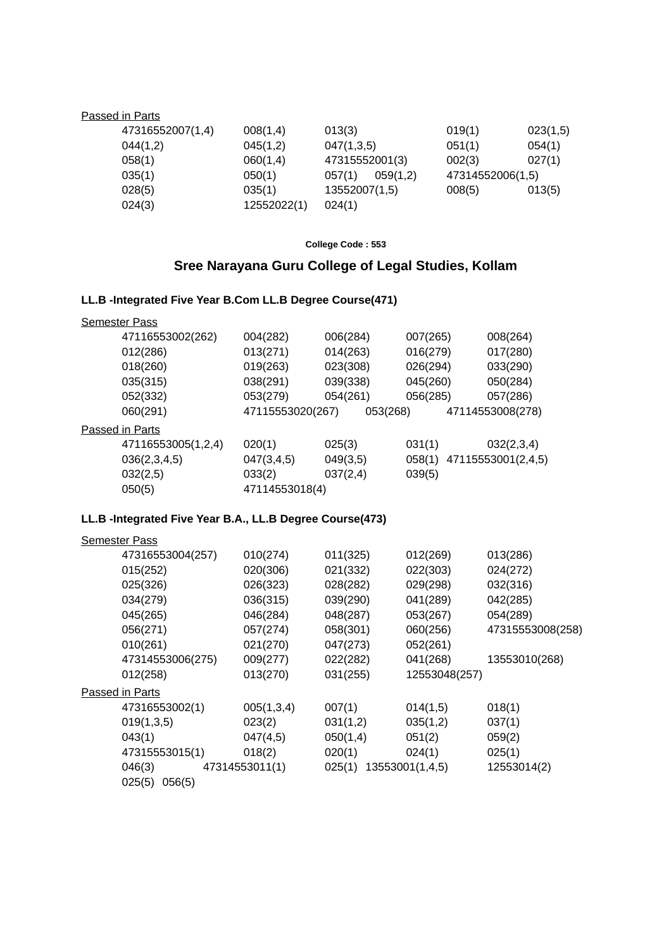#### Passed in Parts

| 47316552007(1,4) | 008(1,4)    | 013(3)             | 019(1)           | 023(1,5) |
|------------------|-------------|--------------------|------------------|----------|
| 044(1,2)         | 045(1,2)    | 047(1,3,5)         | 051(1)           | 054(1)   |
| 058(1)           | 060(1,4)    | 47315552001(3)     | 002(3)           | 027(1)   |
| 035(1)           | 050(1)      | 059(1,2)<br>057(1) | 47314552006(1,5) |          |
| 028(5)           | 035(1)      | 13552007(1,5)      | 008(5)           | 013(5)   |
| 024(3)           | 12552022(1) | 024(1)             |                  |          |

#### **College Code : 553**

# **Sree Narayana Guru College of Legal Studies, Kollam**

# **LL.B -Integrated Five Year B.Com LL.B Degree Course(471)**

#### Semester Pass

| 47116553002(262) | 004(282)         | 006(284) | 007(265) | 008(264)         |
|------------------|------------------|----------|----------|------------------|
| 012(286)         | 013(271)         | 014(263) | 016(279) | 017(280)         |
| 018(260)         | 019(263)         | 023(308) | 026(294) | 033(290)         |
| 035(315)         | 038(291)         | 039(338) | 045(260) | 050(284)         |
| 052(332)         | 053(279)         | 054(261) | 056(285) | 057(286)         |
| 060(291)         | 47115553020(267) | 053(268) |          | 47114553008(278) |
| Passed in Parts  |                  |          |          |                  |

| 47116553005(1,2,4) | 020(1)         | 025(3)   | 031(1) | 032(2,3,4)                |
|--------------------|----------------|----------|--------|---------------------------|
| 036(2,3,4,5)       | 047(3.4.5)     | 049(3.5) |        | 058(1) 47115553001(2,4,5) |
| 032(2,5)           | 033(2)         | 037(2,4) | 039(5) |                           |
| 050(5)             | 47114553018(4) |          |        |                           |

# **LL.B -Integrated Five Year B.A., LL.B Degree Course(473)**

| <b>Semester Pass</b> |                |                        |               |                  |
|----------------------|----------------|------------------------|---------------|------------------|
| 47316553004(257)     | 010(274)       | 011(325)               | 012(269)      | 013(286)         |
| 015(252)             | 020(306)       | 021(332)               | 022(303)      | 024(272)         |
| 025(326)             | 026(323)       | 028(282)               | 029(298)      | 032(316)         |
| 034(279)             | 036(315)       | 039(290)               | 041(289)      | 042(285)         |
| 045(265)             | 046(284)       | 048(287)               | 053(267)      | 054(289)         |
| 056(271)             | 057(274)       | 058(301)               | 060(256)      | 47315553008(258) |
| 010(261)             | 021(270)       | 047(273)               | 052(261)      |                  |
| 47314553006(275)     | 009(277)       | 022(282)               | 041(268)      | 13553010(268)    |
| 012(258)             | 013(270)       | 031(255)               | 12553048(257) |                  |
| Passed in Parts      |                |                        |               |                  |
| 47316553002(1)       | 005(1,3,4)     | 007(1)                 | 014(1,5)      | 018(1)           |
| 019(1,3,5)           | 023(2)         | 031(1,2)               | 035(1,2)      | 037(1)           |
| 043(1)               | 047(4,5)       | 050(1,4)               | 051(2)        | 059(2)           |
| 47315553015(1)       | 018(2)         | 020(1)                 | 024(1)        | 025(1)           |
| 046(3)               | 47314553011(1) | 025(1) 13553001(1,4,5) |               | 12553014(2)      |
| $025(5)$ $056(5)$    |                |                        |               |                  |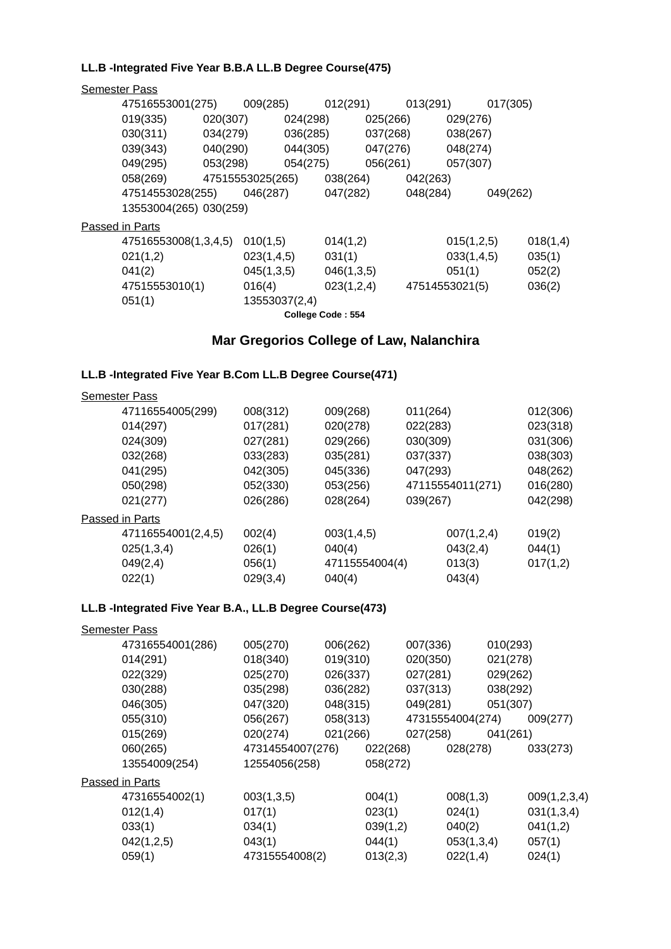## **LL.B -Integrated Five Year B.B.A LL.B Degree Course(475)**

| <b>Semester Pass</b> |                        |                  |                   |            |          |                |            |          |
|----------------------|------------------------|------------------|-------------------|------------|----------|----------------|------------|----------|
| 47516553001(275)     |                        | 009(285)         | 012(291)          |            | 013(291) |                | 017(305)   |          |
| 019(335)             | 020(307)               |                  | 024(298)          | 025(266)   |          | 029(276)       |            |          |
| 030(311)             | 034(279)               |                  | 036(285)          | 037(268)   |          | 038(267)       |            |          |
| 039(343)             | 040(290)               |                  | 044(305)          | 047(276)   |          | 048(274)       |            |          |
| 049(295)             | 053(298)               |                  | 054(275)          | 056(261)   |          | 057(307)       |            |          |
| 058(269)             |                        | 47515553025(265) |                   | 038(264)   | 042(263) |                |            |          |
| 47514553028(255)     |                        | 046(287)         | 047(282)          |            | 048(284) |                | 049(262)   |          |
|                      | 13553004(265) 030(259) |                  |                   |            |          |                |            |          |
| Passed in Parts      |                        |                  |                   |            |          |                |            |          |
| 47516553008(1,3,4,5) |                        | 010(1,5)         | 014(1,2)          |            |          |                | 015(1,2,5) | 018(1,4) |
| 021(1,2)             |                        | 023(1,4,5)       | 031(1)            |            |          |                | 033(1,4,5) | 035(1)   |
| 041(2)               |                        | 045(1,3,5)       |                   | 046(1,3,5) |          | 051(1)         |            | 052(2)   |
| 47515553010(1)       |                        | 016(4)           |                   | 023(1,2,4) |          | 47514553021(5) |            | 036(2)   |
| 051(1)               |                        | 13553037(2,4)    |                   |            |          |                |            |          |
|                      |                        |                  | College Code: 554 |            |          |                |            |          |

# **Mar Gregorios College of Law, Nalanchira**

# **LL.B -Integrated Five Year B.Com LL.B Degree Course(471)**

| <b>Semester Pass</b> |          |            |          |                |                                                                |
|----------------------|----------|------------|----------|----------------|----------------------------------------------------------------|
| 47116554005(299)     | 008(312) | 009(268)   | 011(264) |                | 012(306)                                                       |
| 014(297)             | 017(281) | 020(278)   | 022(283) |                | 023(318)                                                       |
| 024(309)             | 027(281) | 029(266)   | 030(309) |                | 031(306)                                                       |
| 032(268)             | 033(283) | 035(281)   | 037(337) |                | 038(303)                                                       |
| 041(295)             | 042(305) | 045(336)   | 047(293) |                | 048(262)                                                       |
| 050(298)             | 052(330) | 053(256)   |          |                | 016(280)                                                       |
| 021(277)             | 026(286) | 028(264)   | 039(267) |                | 042(298)                                                       |
| Passed in Parts      |          |            |          |                |                                                                |
| 47116554001(2,4,5)   | 002(4)   | 003(1,4,5) |          |                | 019(2)                                                         |
| 025(1,3,4)           | 026(1)   | 040(4)     |          |                | 044(1)                                                         |
| 049(2,4)             | 056(1)   |            |          |                | 017(1,2)                                                       |
| 022(1)               | 029(3,4) | 040(4)     |          |                |                                                                |
|                      |          |            |          | 47115554004(4) | 47115554011(271)<br>007(1,2,4)<br>043(2,4)<br>013(3)<br>043(4) |

# **LL.B -Integrated Five Year B.A., LL.B Degree Course(473)**

| <b>Semester Pass</b> |                  |          |          |          |                  |          |              |
|----------------------|------------------|----------|----------|----------|------------------|----------|--------------|
| 47316554001(286)     | 005(270)         | 006(262) |          | 007(336) |                  | 010(293) |              |
| 014(291)             | 018(340)         | 019(310) |          | 020(350) |                  | 021(278) |              |
| 022(329)             | 025(270)         | 026(337) |          | 027(281) |                  | 029(262) |              |
| 030(288)             | 035(298)         | 036(282) |          | 037(313) |                  | 038(292) |              |
| 046(305)             | 047(320)         | 048(315) |          | 049(281) |                  | 051(307) |              |
| 055(310)             | 056(267)         | 058(313) |          |          | 47315554004(274) |          | 009(277)     |
| 015(269)             | 020(274)         | 021(266) |          | 027(258) |                  | 041(261) |              |
| 060(265)             | 47314554007(276) |          | 022(268) |          | 028(278)         |          | 033(273)     |
| 13554009(254)        | 12554056(258)    |          | 058(272) |          |                  |          |              |
| Passed in Parts      |                  |          |          |          |                  |          |              |
| 47316554002(1)       | 003(1,3,5)       |          | 004(1)   |          | 008(1,3)         |          | 009(1,2,3,4) |
| 012(1,4)             | 017(1)           |          | 023(1)   |          | 024(1)           |          | 031(1,3,4)   |
| 033(1)               | 034(1)           |          | 039(1,2) |          | 040(2)           |          | 041(1,2)     |
| 042(1,2,5)           | 043(1)           |          | 044(1)   |          | 053(1,3,4)       |          | 057(1)       |
| 059(1)               | 47315554008(2)   |          | 013(2,3) |          | 022(1,4)         |          | 024(1)       |
|                      |                  |          |          |          |                  |          |              |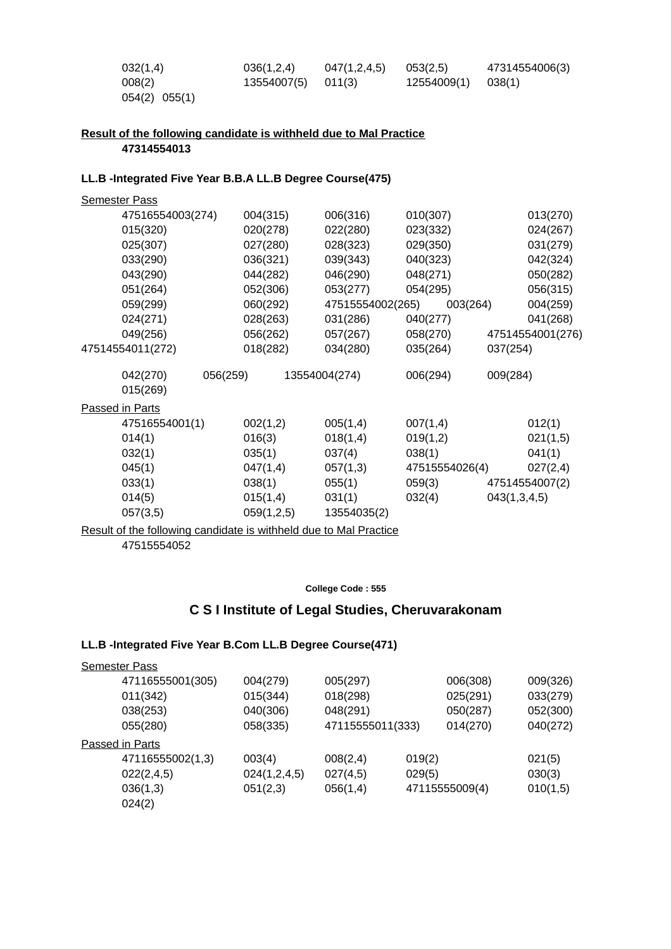| 032(1,4)      | 036(1,2,4)  | 047(1,2,4,5) | 053(2.5)           | 47314554006(3) |
|---------------|-------------|--------------|--------------------|----------------|
| 008(2)        | 13554007(5) | 011(3)       | 12554009(1) 038(1) |                |
| 054(2) 055(1) |             |              |                    |                |

#### **Result of the following candidate is withheld due to Mal Practice 47314554013**

#### **LL.B -Integrated Five Year B.B.A LL.B Degree Course(475)**

| <b>Semester Pass</b> |            |               |                  |                |                  |
|----------------------|------------|---------------|------------------|----------------|------------------|
| 47516554003(274)     | 004(315)   | 006(316)      | 010(307)         |                | 013(270)         |
| 015(320)             | 020(278)   | 022(280)      | 023(332)         |                | 024(267)         |
| 025(307)             | 027(280)   | 028(323)      | 029(350)         |                | 031(279)         |
| 033(290)             | 036(321)   | 039(343)      | 040(323)         |                | 042(324)         |
| 043(290)             | 044(282)   | 046(290)      | 048(271)         |                | 050(282)         |
| 051(264)             | 052(306)   | 053(277)      | 054(295)         |                | 056(315)         |
| 059(299)             | 060(292)   |               | 47515554002(265) | 003(264)       | 004(259)         |
| 024(271)             | 028(263)   | 031(286)      | 040(277)         |                | 041(268)         |
| 049(256)             | 056(262)   | 057(267)      | 058(270)         |                | 47514554001(276) |
| 47514554011(272)     | 018(282)   | 034(280)      | 035(264)         | 037(254)       |                  |
| 042(270)             | 056(259)   | 13554004(274) | 006(294)         | 009(284)       |                  |
| 015(269)             |            |               |                  |                |                  |
| Passed in Parts      |            |               |                  |                |                  |
| 47516554001(1)       | 002(1,2)   | 005(1,4)      | 007(1,4)         |                | 012(1)           |
| 014(1)               | 016(3)     | 018(1,4)      | 019(1,2)         |                | 021(1,5)         |
| 032(1)               | 035(1)     | 037(4)        | 038(1)           |                | 041(1)           |
| 045(1)               | 047(1,4)   | 057(1,3)      |                  | 47515554026(4) | 027(2,4)         |
| 033(1)               | 038(1)     | 055(1)        | 059(3)           |                | 47514554007(2)   |
| 014(5)               | 015(1,4)   | 031(1)        | 032(4)           | 043(1,3,4,5)   |                  |
| 057(3,5)             | 059(1,2,5) | 13554035(2)   |                  |                |                  |
|                      |            |               |                  |                |                  |

# Result of the following candidate is withheld due to Mal Practice

47515554052

#### **College Code : 555**

# **C S I Institute of Legal Studies, Cheruvarakonam**

#### **LL.B -Integrated Five Year B.Com LL.B Degree Course(471)**

| <b>Semester Pass</b> |              |                  |        |                |          |
|----------------------|--------------|------------------|--------|----------------|----------|
| 47116555001(305)     | 004(279)     | 005(297)         |        | 006(308)       | 009(326) |
| 011(342)             | 015(344)     | 018(298)         |        | 025(291)       | 033(279) |
| 038(253)             | 040(306)     | 048(291)         |        | 050(287)       | 052(300) |
| 055(280)             | 058(335)     | 47115555011(333) |        | 014(270)       | 040(272) |
| Passed in Parts      |              |                  |        |                |          |
| 47116555002(1,3)     | 003(4)       | 008(2,4)         | 019(2) |                | 021(5)   |
| 022(2,4,5)           | 024(1,2,4,5) | 027(4,5)         | 029(5) |                | 030(3)   |
| 036(1,3)             | 051(2,3)     | 056(1,4)         |        | 47115555009(4) | 010(1,5) |
| 024(2)               |              |                  |        |                |          |